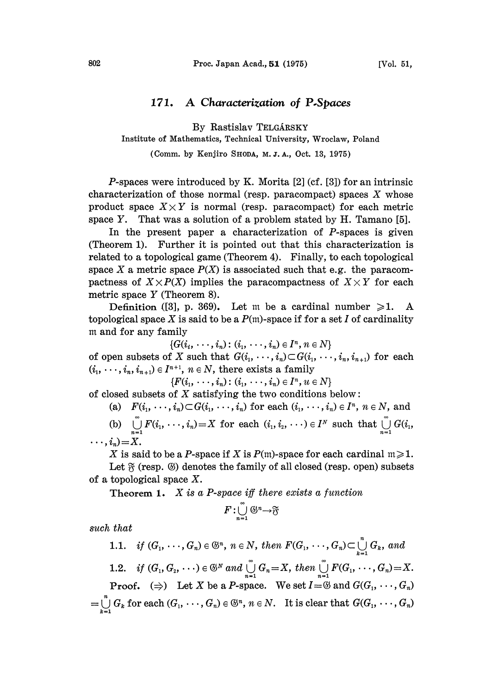## 171. A Characterization of P.Spaces

By Rastislav TELGÁRSKY

Institute of Mathematics, Technical University, Wroclaw, Poland

(Comm. by Kenjiro SHODA, M.J.A., Oct. 13, 1975)

**P**-spaces were introduced by K. Morita  $[2]$  (cf.  $[3]$ ) for an intrinsic characterization of those normal (resp. paracompact) spaces  $X$  whose product space  $X \times Y$  is normal (resp. paracompact) for each metric space Y. That was a solution of a problem stated by H. Tamano [5].

In the present paper a characterization of P-spaces is given (Theorem 1). Further it is pointed out that this characterization is related to a topological game (Theorem 4). Finally, to each topological space X a metric space  $P(X)$  is associated such that e.g. the paracompactness of  $X \times P(X)$  implies the paracompactness of  $X \times Y$  for each metric space Y (Theorem 8).

Definition ([3], p. 369). Let m be a cardinal number  $\geq 1$ . A topological space X is said to be a  $P(m)$ -space if for a set I of cardinality m and for any family

 $\{G(i_1, \ldots, i_n): (i_1, \ldots, i_n) \in I^n, n \in N\}$ 

of open subsets of X such that  $G(i_1, \dots, i_n) \subset G(i_1, \dots, i_n, i_{n+1})$  for each  $(i_1, \dots, i_n, i_{n+1}) \in I^{n+1}$ ,  $n \in N$ , there exists a family

 $\{F(i_1, \ldots, i_n): (i_1, \ldots, i_n) \in I^n, u \in N\}$ 

of closed subsets of  $X$  satisfying the two conditions below:

(a)  $F(i_1, \dots, i_n) \subset G(i_1, \dots, i_n)$  for each  $(i_1, \dots, i_n) \in I^n$ ,  $n \in N$ , and

(b)  $\bigcup_{n=1} F(i_1, \dots, i_n) = X$  for each  $(i_1, i_2, \dots) \in I^N$  such that  $\bigcup_{n=1} G(i_1, i_2, \dots)$  $\cdots$ ,  $i_n$ ) = X.

X is said to be a P-space if X is  $P(m)$ -space for each cardinal  $m \ge 1$ .

Let  $\mathcal R$  (resp.  $\circledS$ ) denotes the family of all closed (resp. open) subsets of a topological space  $X$ .

**Theorem 1.** X is a P-space iff there exists a function

$$
F:\bigcup_{n=1}^{\infty} \mathbb{G}^n \rightarrow \mathfrak{F}
$$

such that

1.1. if  $(G_1, \ldots, G_n) \in \mathfrak{S}^n$ ,  $n \in N$ , then  $F(G_1, \ldots, G_n) \subset \bigcup_{i=1}^n G_k$ , and 1.2. if  $(G_1, G_2, \dots) \in \mathfrak{S}^N$  and  $\bigcup_{n=1}^{\infty} G_n = X$ , then  $\bigcup_{n=1}^{\infty} F(G_1, \dots, G_n) = X$ . **Proof.**  $(\Rightarrow)$  Let X be a P-space. We set  $I = \mathcal{B}$  and  $G(G_1, \dots, G_n)$  $=\bigcup_{k=1}^n G_k$  for each  $(G_1, \dots, G_n) \in \mathfrak{S}^n$ ,  $n \in \mathbb{N}$ . It is clear that  $G(G_1, \dots, G_n)$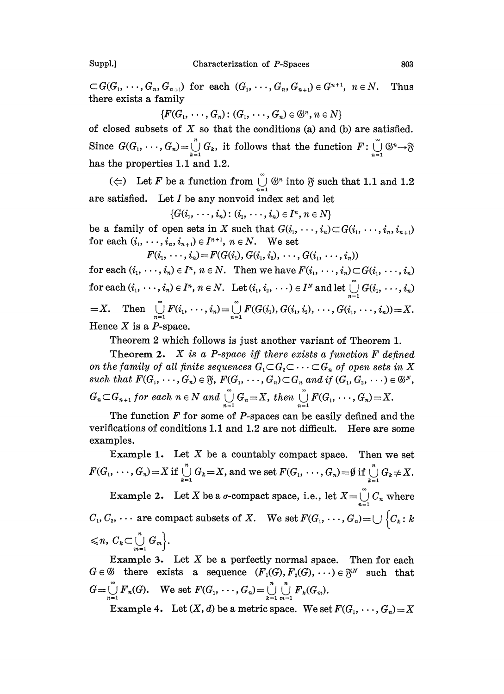$\subset G(G_1, \dots, G_n, G_{n+1})$  for each  $(G_1, \dots, G_n, G_{n+1}) \in G^{n+1}$ ,  $n \in N$ . Thus there exists a family

 ${F(G_1, \ldots, G_n): (G_1, \ldots, G_n) \in \mathbb{S}^n, n \in N}$ 

of closed subsets of  $X$  so that the conditions (a) and (b) are satisfied. Since  $G(G_1, \dots, G_n) = \bigcup_{k=1}^n G_k$ , it follows that the function  $F: \bigcup_{n=1}^{\infty} G_n$ has the properties 1.1 and 1.2.

( $\Leftarrow$ ) Let F be a function from  $\bigcup_{n=1}^{\infty}$  ( $\mathbb{S}^n$  into  $\mathfrak{F}$  such that 1.1 and 1.2 are satisfied. Let  $I$  be any nonvoid index set and let

 $\{G(i_1, \ldots, i_n): (i_1, \ldots, i_n) \in I^n, n \in N\}$ 

be a family of open sets in X such that  $G(i_1, \dots, i_n) \subset G(i_1, \dots, i_n, i_{n+1})$ for each  $(i_1, \dots, i_n, i_{n+1}) \in I^{n+1}$ ,  $n \in N$ . We set

 $F(i_1, \dots, i_n) = F(G(i_1), G(i_1, i_2), \dots, G(i_1, \dots, i_n))$ 

for each  $(i_1, \dots, i_n) \in I^n$ ,  $n \in N$ . Then we have  $F(i_1, \dots, i_n) \subset G(i_1, \dots, i_n)$ for each  $(i_1, \dots, i_n) \in I^n$ ,  $n \in N$ . Let  $(i_1, i_2, \dots) \in I^N$  and let  $\bigcup_{n=1}^{\infty} G(i_1, \dots, i_n)$  $=X.$  Then  $\bigcup_{n=1} F(i_1, \dots, i_n) = \bigcup_{n=1} F(G(i_1), G(i_1, i_2), \dots, G(i_1, \dots, i_n)) = X.$ Hence  $X$  is a  $P$ -space.

Theorem 2 which follows is just another variant of Theorem 1.

Theorem 2. X is a P-space iff there exists a function  $F$  defined on the family of all finite sequences  $G_1 \subset G_2 \subset \cdots \subset G_n$  of open sets in X such that  $F(G_1, \dots, G_n) \in \mathfrak{F}$ ,  $F(G_1, \dots, G_n) \subset G_n$  and if  $(G_1, G_2, \dots) \in \mathfrak{G}^N$ ,  $G_n \subset G_{n+1}$  for each  $n \in N$  and  $\bigcup_{n=1}^{\infty} G_n=X$ , then  $\bigcup_{n=1}^{\infty} F(G_1, \dots, G_n)=X$ .

The function  $F$  for some of  $P$ -spaces can be easily defined and the verifications of conditions 1.1 and 1.2 are not difficult. Here are some examples.

Example 1. Let  $X$  be a countably compact space. Then we set  $F(G_1, \dots, G_n) = X$  if  $\bigcup_{k=1}^n G_k = X$ , and we set  $F(G_1, \dots, G_n) = \emptyset$  if  $\bigcup_{k=1}^n G_k \neq X$ . Example 2. Let X be a  $\sigma$ -compact space, i.e., let  $X = \bigcup_{n=1}^{\infty} C_n$  where  $C_1, C_2, \cdots$  are compact subsets of X. We set  $F(G_1, \cdots, G_n) = \bigcup \{C_k : k \}$  $\leq n, C_k \subset \bigcup_{m=1}^n G_m$ .

Example 3. Let  $X$  be a perfectly normal space. Then for each  $G \in \mathcal{G}$  there exists a sequence  $(F_1(G), F_2(G), \dots) \in \mathfrak{F}^N$  such that  $G = \bigcup_{n=1}^{\infty} F_n(G)$ . We set  $F(G_1, \dots, G_n) = \bigcup_{k=1}^{n} \bigcup_{m=1}^{n} F_k(G_m)$ . Example 4. Let  $(X, d)$  be a metric space. We set  $F(G_1, \dots, G_n) = X$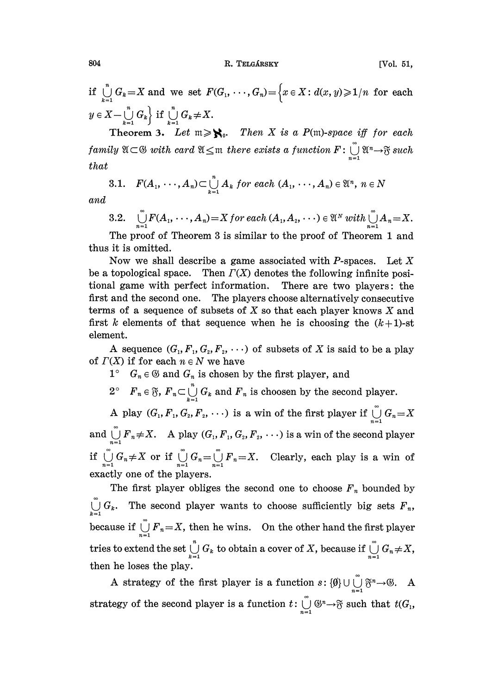804 R. TELGÁRSKY [Vol. 51,

if  $\bigcup_{i=1}^{n} G_i = X$  and we set  $F(G_1, \dots, G_n) = \Big\{x \in X : d(x, y) \geq 1/n \text{ for each }$  $y \in X - \bigcup_{k=1}^n G_k$  if  $\bigcup_{k=1}^n G_k \neq X$ .

Theorem 3. Let  $m \ge \aleph_0$ . Then X is a P(m)-space iff for each family  $\mathfrak{A}\subset\mathfrak{G}$  with card  $\mathfrak{A}\leq\mathfrak{m}$  there exists a function  $F:\bigcup\limits_{n=1}^{\infty}\mathfrak{A}^{n}\rightarrow\mathfrak{F}$  such that

3.1. 
$$
F(A_1, \dots, A_n) \subset \bigcup_{k=1}^n A_k
$$
 for each  $(A_1, \dots, A_n) \in \mathfrak{A}^n$ ,  $n \in \mathbb{N}$ 

and

3.2. 
$$
\bigcup_{n=1}^{\infty} F(A_1, \cdots, A_n) = X \text{ for each } (A_1, A_2, \cdots) \in \mathfrak{A}^N \text{ with } \bigcup_{n=1}^{\infty} A_n = X.
$$

The proof of Theorem 3 is similar to the proof of Theorem 1 and thus it is omitted.

Now we shall describe a game associated with P-spaces. Let  $X$ be a topological space. Then  $\Gamma(X)$  denotes the following infinite positional game with perfect information. There are two players: the first and the second one. The players choose alternatively consecutive terms of a sequence of subsets of  $X$  so that each player knows  $X$  and first k elements of that sequence when he is choosing the  $(k+1)$ -st element.

A sequence  $(G_1, F_1, G_2, F_2, \cdots)$  of subsets of X is said to be a play of  $\Gamma(X)$  if for each  $n \in N$  we have

- $1^{\circ}$   $G_n \in \mathcal{C}$  and  $G_n$  is chosen by the first player, and
- $2^{\circ}$   $F_n \in \mathfrak{F}$ ,  $F_n \subset \bigcup_{k=1}^n G_k$  and  $F_n$  is choosen by the second player.

A play  $(G_1, F_1, G_2, F_2, \cdots)$  is a win of the first player if  $\bigcup_{i=1}^{\infty} G_i = X$ and  $\bigcup_{n=1}^{\infty} F_n \neq X$ . A play  $(G_1, F_1, G_2, F_2, \cdots)$  is a win of the second player if  $\bigcup_{n=1} G_n \neq X$  or if  $\bigcup_{n=1} G_n = \bigcup_{n=1} F_n = X$ . Clearly, each play is a win of exactly one of the players.

The first player obliges the second one to choose  $F_n$  bounded by  $\bigcup_{i=1}^{\infty} G_k$ . The second player wants to choose sufficiently big sets  $F_n$ , because if  $\bigcup_{n=1}^{\infty} F_n = X$ , then he wins. On the other hand the first player tries to extend the set  $\bigcup_{k=1}^n G_k$  to obtain a cover of X, because if  $\bigcup_{n=1}^\infty G_n \neq X$ , then he loses the play.

A strategy of the first player is a function  $s: {\emptyset} \cup \bigcup_{n=1}^{\infty} {\mathfrak{F}}^n \to {\mathfrak{G}}.$  A strategy of the second player is a function  $t: \bigcup_{n=1} \mathbb{G}^n \to \mathfrak{F}$  such that  $t(G_1, \ldots, G_n)$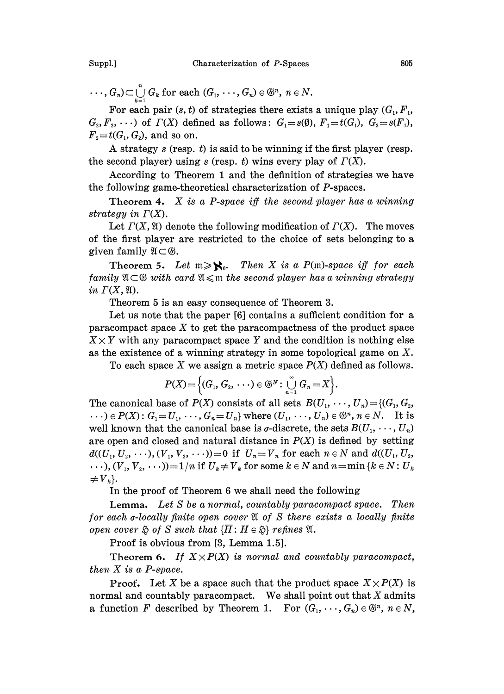$\ldots, G_n \subset \bigcup_{k=1}^n G_k$  for each  $(G_1, \ldots, G_n) \in \mathfrak{S}^n$ ,  $n \in \mathbb{N}$ .

For each pair  $(s, t)$  of strategies there exists a unique play  $(G_1, F_1,$  $G_2, F_2, \cdots$  of  $\Gamma(X)$  defined as follows:  $G_1 = s(\emptyset), F_1 = t(G_1), G_2 = s(F_1),$  $F<sub>2</sub>=t(G<sub>1</sub>, G<sub>2</sub>)$ , and so on.

A strategy  $s$  (resp.  $t$ ) is said to be winning if the first player (resp. the second player) using s (resp. t) wins every play of  $\Gamma(X)$ .

According to Theorem <sup>1</sup> and the definition of strategies we have the following game-theoretical characterization of P-spaces.

Theorem 4. X is a P-space iff the second player has a winning strategy in  $\Gamma(X)$ .

Let  $\Gamma(X, \mathfrak{A})$  denote the following modification of  $\Gamma(X)$ . The moves of the first player are restricted to the choice of sets belonging to a given family  $\mathfrak{A} \subset \mathfrak{G}$ .

Theorem 5. Let  $m \ge \aleph_0$ . Then X is a P(m)-space iff for each family  $\mathfrak{A}\subset \mathfrak{G}$  with card  $\mathfrak{A}\leqslant \mathfrak{m}$  the second player has a winning strategy in  $\Gamma(X, \mathfrak{A})$ .

Theorem 5 is an easy consequence of Theorem 3.

Let us note that the paper [6] contains a sufficient condition for a paracompact space  $X$  to get the paracompactness of the product space  $X \times Y$  with any paracompact space Y and the condition is nothing else as the existence of a winning strategy in some topological game on X.

To each space X we assign a metric space  $P(X)$  defined as follows.

$$
P(X) = \left\{ (G_1, G_2, \cdots) \in \mathbb{G}^N : \bigcup_{n=1}^{\infty} G_n = X \right\}.
$$

 $P(X) = \left\{(G_1, G_2, \dots) \in \mathbb{G}^N : \bigcup_{n=1} G_n = X\right\}.$  The canonical base of  $P(X)$  consists of all sets  $B(U_1, \dots, U_n) = \{(G_1, G_2, \dots, G_n)\}$  $\cdots$ )  $\in$   $P(X)$ :  $G_1 = U_1, \cdots, G_n = U_n$  where  $(U_1, \cdots, U_n) \in \mathfrak{S}^n$ ,  $n \in \mathbb{N}$ . It is well known that the canonical base is  $\sigma$ -discrete, the sets  $B(U_1, \dots, U_n)$ are open and closed and natural distance in  $P(X)$  is defined by setting  $d((U_1, U_2, \dots), (V_1, V_2, \dots)) = 0$  if  $U_n = V_n$  for each  $n \in N$  and  $d((U_1, U_2, \dots))$  $\ldots$ ,  $(V_1, V_2, \ldots)$  = 1/n if  $U_k \neq V_k$  for some  $k \in N$  and  $n = \min \{k \in N : U_k\}$  $\neq V_{k}$ .

In the proof of Theorem 6 we shall need the following

Lemma. Let S be a normal, countably paracompact space. Then for each  $\sigma$ -locally finite open cover  $\mathfrak A$  of  $S$  there exists a locally finite open cover  $\tilde{\otimes}$  of S such that  $\{\overline{H}: H \in \tilde{\otimes}\}$  refines  $\mathfrak{A}.$ 

Proof is obvious from [3, Lemma 1.5].

Theorem 6. If  $X \times P(X)$  is normal and countably paracompact, then  $X$  is a P-space.

**Proof.** Let X be a space such that the product space  $X \times P(X)$  is normal and countably paracompact. We shall point out that  $X$  admits a function F described by Theorem 1. For  $(G_1, \dots, G_n) \in \mathbb{S}^n$ ,  $n \in N$ ,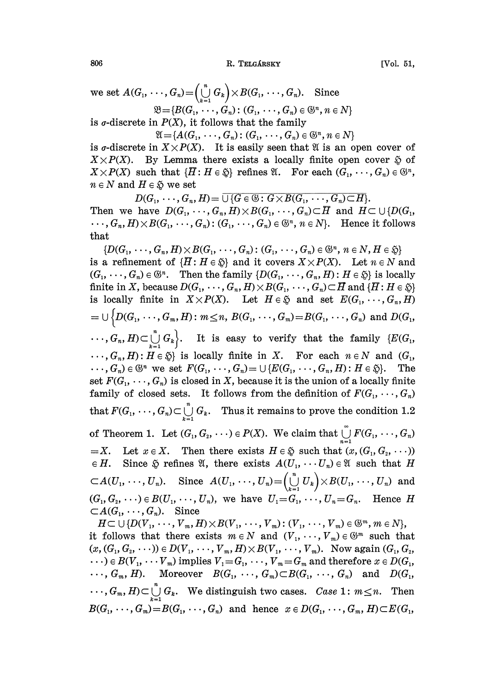806 R. TELGÁRSKY [Vol. 51,

set  $A(G_1, \dots, G_n) = \left(\bigcup_{k=1}^{\infty} G_k\right) \times B(G_1, \dots, G_n)$ . Since  $\mathfrak{B}=\{B(G_1,\ldots,G_n): (G_1,\ldots,G_n)\in\mathfrak{S}^n, n\in\mathbb{N}\}\,$ 

is  $\sigma$ -discrete in  $P(X)$ , it follows that the family

 $\mathfrak{A} = \{A(G_1, \dots, G_n) : (G_1, \dots, G_n) \in \mathfrak{S}^n, n \in N\}$ 

is *σ*-discrete in  $X \times P(X)$ . It is easily seen that  $\mathfrak A$  is an open cover of  $X \times P(X)$ . By Lemma there exists a locally finite open cover  $\tilde{\varphi}$  of  $X \times P(X)$  such that  $\{H : H \in \mathfrak{F}\}\$  refines  $\mathfrak{A}$ . For each  $(G_1, \dots, G_n) \in \mathfrak{G}^n$ ,  $n \in N$  and  $H \in \mathfrak{H}$  we set

 $D(G_1, \dots, G_n, H) = \overline{\bigcup \{G \in \mathfrak{G} : G \times B(G_1, \dots, G_n) \subset H\}}.$ Then we have  $D(G_1, \dots, G_n, H) \times B(G_1, \dots, G_n) \subset H$  and  $H \subset \bigcup \{D(G_1, \dots, G_n) \mid \text{and } H \subset G\}$  $\cdots, G_n, H) \times B(G_1, \cdots, G_n)$ :  $(G_1, \cdots, G_n) \in \mathfrak{S}^n$ ,  $n \in N$ . Hence it follows that

 ${D(G_1, \dots, G_n, H) \times B(G_1, \dots, G_n): (G_1, \dots, G_n) \in \mathfrak{S}^n, n \in N, H \in \mathfrak{S}}$ is a refinement of  $\{H: H \in \mathfrak{H}\}$  and it covers  $X \times P(X)$ . Let  $n \in N$  and  $(G_1, \dots, G_n) \in \mathfrak{S}^n$ . Then the family  $\{D(G_1, \dots, G_n, H) : H \in \mathfrak{F}\}\)$  is locally finite in X, because  $D(G_1, \dots, G_n, H) \times B(G_1, \dots, G_n) \subset \overline{H}$  and  $\{\overline{H}: H \in \mathfrak{H}\}\$ is locally finite in  $X \times P(X)$ . Let  $H \in \mathfrak{D}$  and set  $E(G_1, \dots, G_n, H)$  $I = \bigcup \{D(G_1, \ldots, G_m, H) : m \le n, B(G_1, \ldots, G_m) = B(G_1, \ldots, G_n) \text{ and } D(G_1, \ldots, G_m) = B(G_1, \ldots, G_m) \}$  $\cdots, G_n, H \subset \bigcup_{i=1}^{n} G_k$ . It is easy to verify that the family  $\{E(G_1, \ldots, G_n)\}$  $\ldots, G_n, H$ :  $H \in \mathfrak{H}$  is locally finite in X. For each  $n \in N$  and  $(G_1,$  $\ldots, G_n) \in \mathfrak{S}^n$  we set  $F(G_1, \ldots, G_n) = \cup \{E(G_1, \ldots, G_n, H) : H \in \mathfrak{F}\}.$  The set  $F(G_1, \dots, G_n)$  is closed in X, because it is the union of a locally finite family of closed sets. It follows from the definition of  $F(G_1, \dots, G_n)$ that  $F(G_1, \dots, G_n) \subset \bigcup_{k=1}^n G_k$ . Thus it remains to prove the condition 1.2 of Theorem 1. Let  $(G_1, G_2, \dots) \in P(X)$ . We claim that  $\bigcup_{n=1}^{\infty} F(G_1, \dots, G_n)$  $=X$ . Let  $x \in X$ . Then there exists  $H \in \mathfrak{F}$  such that  $(x, (G_1, G_2, \cdots))$  $\in$  H. Since  $\tilde{\varphi}$  refines  $\mathfrak{A}$ , there exists  $A(U_1,\cdots U_n)\in \mathfrak{A}$  such that H  $\sub{A}(U_1, \ldots, U_n)$ . Since  $A(U_1, \ldots, U_n) = \left(\bigcup_{k=1}^n U_k\right) \times B(U_1, \ldots, U_n)$  and  $(G_1, G_2, \dots) \in B(U_1, \dots, U_n)$ , we have  $U_1 = G_1, \dots, U_n = G_n$ . Hence H  $\subset A(G_1, \dots, G_n)$ . Since  $H \subset \bigcup \{D(V_1, \ldots, V_m, H) \times B(V_1, \ldots, V_m) : (V_1, \ldots, V_m) \in \mathbb{S}^m, m \in N\},\$ it follows that there exists  $m \in N$  and  $(V_1, \dots, V_m) \in \mathbb{G}^m$  such that  $(x, (G_1, G_2, \dots)) \in D(V_1, \dots, V_m, H) \times B(V_1, \dots, V_m)$ . Now again  $(G_1, G_2, \dots)$  $\cdots$ )  $\in B(V_1, \cdots V_m)$  implies  $V_1 = G_1, \cdots, V_m = G_m$  and therefore  $x \in D(G_1, \cdots)$  $\cdots$ ,  $G_m$ , H). Moreover  $B(G_1, \cdots, G_m) \subset B(G_1, \cdots, G_n)$  and  $D(G_1,$ 

 $\cdots$ ,  $G_m$ ,  $H \subset \bigcup_{k=1}^n G_k$ . We distinguish two cases. Case 1:  $m \leq n$ . Then  $B(G_1, \dots, G_m)=B(G_1, \dots, G_n)$  and hence  $x \in D(G_1, \dots, G_m, H) \subset E(G_1,$